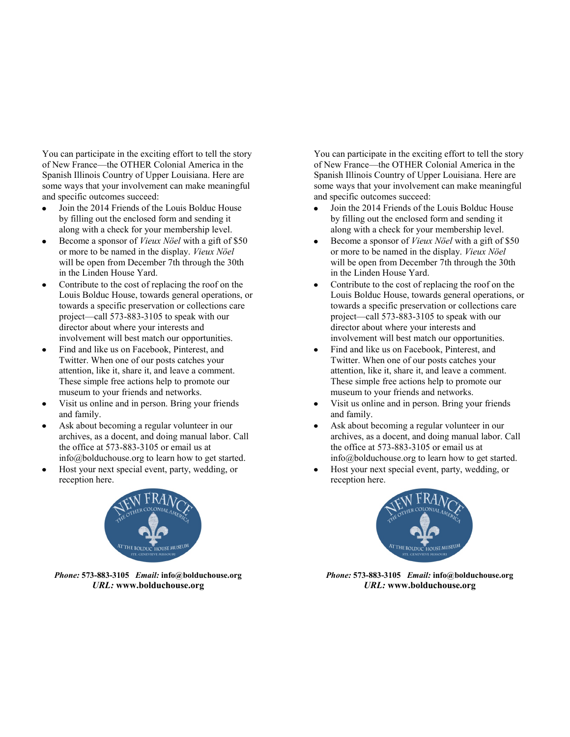You can participate in the exciting effort to tell the story of New France—the OTHER Colonial America in the Spanish Illinois Country of Upper Louisiana. Here are some ways that your involvement can make meaningful and specific outcomes succeed:

- Join the 2014 Friends of the Louis Bolduc House  $\bullet$ by filling out the enclosed form and sending it along with a check for your membership level.
- Become a sponsor of *Vieux Nöel* with a gift of \$50  $\bullet$ or more to be named in the display. *Vieux Nöel*  will be open from December 7th through the 30th in the Linden House Yard.
- Contribute to the cost of replacing the roof on the  $\bullet$ Louis Bolduc House, towards general operations, or towards a specific preservation or collections care project—call 573-883-3105 to speak with our director about where your interests and involvement will best match our opportunities.
- Find and like us on Facebook, Pinterest, and  $\bullet$ Twitter. When one of our posts catches your attention, like it, share it, and leave a comment. These simple free actions help to promote our museum to your friends and networks.
- Visit us online and in person. Bring your friends  $\bullet$ and family.
- Ask about becoming a regular volunteer in our  $\bullet$ archives, as a docent, and doing manual labor. Call the office at 573-883-3105 or email us at info@bolduchouse.org to learn how to get started.
- Host your next special event, party, wedding, or  $\bullet$ reception here.



*Phone:* **573-883-3105** *Email:* **info@bolduchouse.org** *URL:* **www.bolduchouse.org** 

You can participate in the exciting effort to tell the story of New France—the OTHER Colonial America in the Spanish Illinois Country of Upper Louisiana. Here are some ways that your involvement can make meaningful and specific outcomes succeed:

- $\bullet$ Join the 2014 Friends of the Louis Bolduc House by filling out the enclosed form and sending it along with a check for your membership level.
- Become a sponsor of *Vieux Nöel* with a gift of \$50  $\bullet$ or more to be named in the display. *Vieux Nöel*  will be open from December 7th through the 30th in the Linden House Yard.
- Contribute to the cost of replacing the roof on the Louis Bolduc House, towards general operations, or towards a specific preservation or collections care project—call 573-883-3105 to speak with our director about where your interests and involvement will best match our opportunities.
- $\bullet$ Find and like us on Facebook, Pinterest, and Twitter. When one of our posts catches your attention, like it, share it, and leave a comment. These simple free actions help to promote our museum to your friends and networks.
- Visit us online and in person. Bring your friends and family.
- Ask about becoming a regular volunteer in our archives, as a docent, and doing manual labor. Call the office at 573-883-3105 or email us at info@bolduchouse.org to learn how to get started.
- Host your next special event, party, wedding, or reception here.



*Phone:* **573-883-3105** *Email:* **info@bolduchouse.org** *URL:* **www.bolduchouse.org**